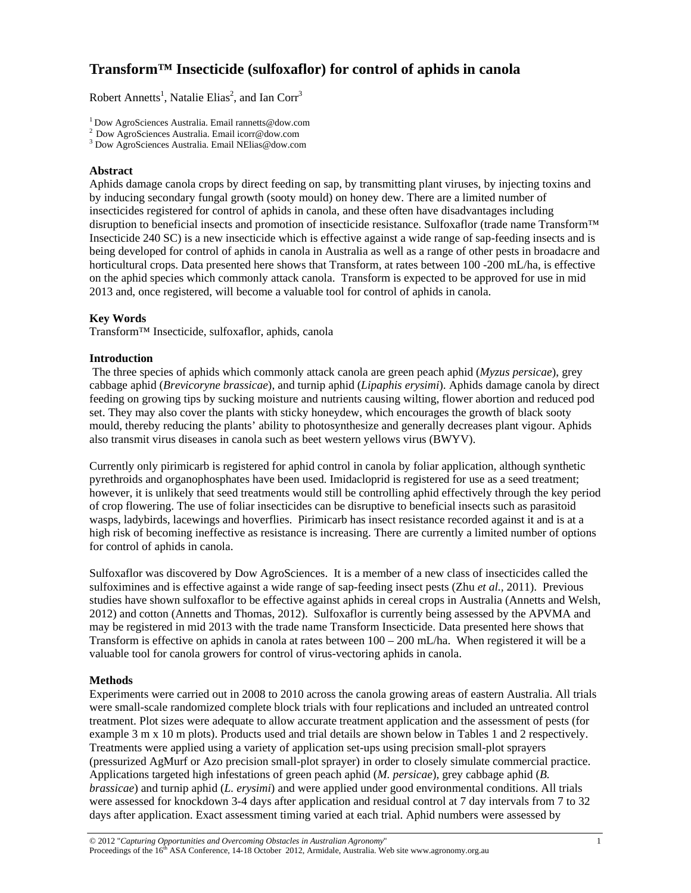# **Transform™ Insecticide (sulfoxaflor) for control of aphids in canola**

Robert Annetts<sup>1</sup>, Natalie Elias<sup>2</sup>, and Ian Corr<sup>3</sup>

<sup>1</sup> Dow AgroSciences Australia. Email rannetts@dow.com <sup>2</sup> Dow AgroSciences Australia. Email icorr@dow.com

Dow AgroSciences Australia. Email NElias@dow.com

## **Abstract**

Aphids damage canola crops by direct feeding on sap, by transmitting plant viruses, by injecting toxins and by inducing secondary fungal growth (sooty mould) on honey dew. There are a limited number of insecticides registered for control of aphids in canola, and these often have disadvantages including disruption to beneficial insects and promotion of insecticide resistance. Sulfoxaflor (trade name Transform™ Insecticide 240 SC) is a new insecticide which is effective against a wide range of sap-feeding insects and is being developed for control of aphids in canola in Australia as well as a range of other pests in broadacre and horticultural crops. Data presented here shows that Transform, at rates between 100 -200 mL/ha, is effective on the aphid species which commonly attack canola. Transform is expected to be approved for use in mid 2013 and, once registered, will become a valuable tool for control of aphids in canola.

## **Key Words**

Transform™ Insecticide, sulfoxaflor, aphids, canola

## **Introduction**

 The three species of aphids which commonly attack canola are green peach aphid (*Myzus persicae*), grey cabbage aphid (*Brevicoryne brassicae*), and turnip aphid (*Lipaphis erysimi*). Aphids damage canola by direct feeding on growing tips by sucking moisture and nutrients causing wilting, flower abortion and reduced pod set. They may also cover the plants with sticky honeydew, which encourages the growth of black sooty mould, thereby reducing the plants' ability to photosynthesize and generally decreases plant vigour. Aphids also transmit virus diseases in canola such as beet western yellows virus (BWYV).

Currently only pirimicarb is registered for aphid control in canola by foliar application, although synthetic pyrethroids and organophosphates have been used. Imidacloprid is registered for use as a seed treatment; however, it is unlikely that seed treatments would still be controlling aphid effectively through the key period of crop flowering. The use of foliar insecticides can be disruptive to beneficial insects such as parasitoid wasps, ladybirds, lacewings and hoverflies. Pirimicarb has insect resistance recorded against it and is at a high risk of becoming ineffective as resistance is increasing. There are currently a limited number of options for control of aphids in canola.

Sulfoxaflor was discovered by Dow AgroSciences. It is a member of a new class of insecticides called the sulfoximines and is effective against a wide range of sap-feeding insect pests (Zhu *et al.,* 2011). Previous studies have shown sulfoxaflor to be effective against aphids in cereal crops in Australia (Annetts and Welsh, 2012) and cotton (Annetts and Thomas, 2012). Sulfoxaflor is currently being assessed by the APVMA and may be registered in mid 2013 with the trade name Transform Insecticide. Data presented here shows that Transform is effective on aphids in canola at rates between 100 – 200 mL/ha. When registered it will be a valuable tool for canola growers for control of virus-vectoring aphids in canola.

## **Methods**

Experiments were carried out in 2008 to 2010 across the canola growing areas of eastern Australia. All trials were small-scale randomized complete block trials with four replications and included an untreated control treatment. Plot sizes were adequate to allow accurate treatment application and the assessment of pests (for example 3 m x 10 m plots). Products used and trial details are shown below in Tables 1 and 2 respectively. Treatments were applied using a variety of application set-ups using precision small-plot sprayers (pressurized AgMurf or Azo precision small-plot sprayer) in order to closely simulate commercial practice. Applications targeted high infestations of green peach aphid (*M. persicae*), grey cabbage aphid (*B. brassicae*) and turnip aphid (*L. erysimi*) and were applied under good environmental conditions. All trials were assessed for knockdown 3-4 days after application and residual control at 7 day intervals from 7 to 32 days after application. Exact assessment timing varied at each trial. Aphid numbers were assessed by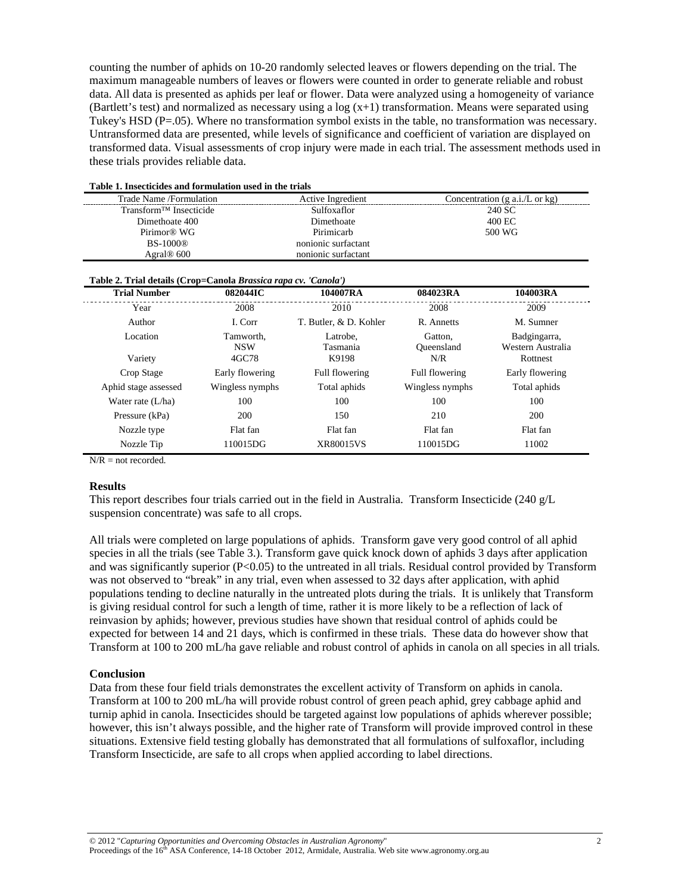counting the number of aphids on 10-20 randomly selected leaves or flowers depending on the trial. The maximum manageable numbers of leaves or flowers were counted in order to generate reliable and robust data. All data is presented as aphids per leaf or flower. Data were analyzed using a homogeneity of variance (Bartlett's test) and normalized as necessary using a  $log(x+1)$  transformation. Means were separated using Tukey's HSD  $(P=.05)$ . Where no transformation symbol exists in the table, no transformation was necessary. Untransformed data are presented, while levels of significance and coefficient of variation are displayed on transformed data. Visual assessments of crop injury were made in each trial. The assessment methods used in these trials provides reliable data.

| Lable 1. Insecticides and formulation used in the trials        |                         |                        |                                                    |                                   |  |  |  |  |
|-----------------------------------------------------------------|-------------------------|------------------------|----------------------------------------------------|-----------------------------------|--|--|--|--|
| Trade Name /Formulation                                         |                         | Active Ingredient      | Concentration $(g \nabla a.i/L \nabla c \nabla g)$ |                                   |  |  |  |  |
| Transform <sup>™</sup> Insecticide                              |                         | Sulfoxaflor            | 240 SC                                             |                                   |  |  |  |  |
| Dimethoate 400                                                  |                         | Dimethoate             | 400 EC                                             |                                   |  |  |  |  |
| Pirimor <sup>®</sup> WG                                         |                         | Pirimicarb             | 500 WG                                             |                                   |  |  |  |  |
| <b>BS-1000®</b>                                                 |                         | nonionic surfactant    |                                                    |                                   |  |  |  |  |
| Agral <sup>®</sup> 600                                          |                         | nonionic surfactant    |                                                    |                                   |  |  |  |  |
| Table 2. Trial details (Crop=Canola Brassica rapa cv. 'Canola') |                         |                        |                                                    |                                   |  |  |  |  |
| <b>Trial Number</b>                                             | 082044IC                | 104007RA               | 084023RA                                           | 104003RA                          |  |  |  |  |
| Year                                                            | 2008                    | 2010                   | 2008                                               | 2009                              |  |  |  |  |
| Author                                                          | I. Corr                 | T. Butler, & D. Kohler | R. Annetts                                         | M. Sumner                         |  |  |  |  |
| Location                                                        | Tamworth,<br><b>NSW</b> |                        | Gatton,<br><b>Oueensland</b>                       | Badgingarra,<br>Western Australia |  |  |  |  |
| Variety                                                         | 4GC78                   | K9198                  | N/R                                                | Rottnest                          |  |  |  |  |
| Crop Stage                                                      | Early flowering         | Full flowering         | Full flowering                                     | Early flowering                   |  |  |  |  |
| Aphid stage assessed                                            | Wingless nymphs         | Total aphids           | Wingless nymphs                                    | Total aphids                      |  |  |  |  |
| Water rate $(L/ha)$                                             | 100                     | 100                    | 100                                                | 100                               |  |  |  |  |
| Pressure (kPa)                                                  | 200                     |                        | 210                                                | 200                               |  |  |  |  |
| Nozzle type                                                     | Flat fan                | Flat fan               | Flat fan                                           |                                   |  |  |  |  |
| 110015DG<br>Nozzle Tip                                          |                         | <b>XR80015VS</b>       | 110015DG                                           | 11002                             |  |  |  |  |

**Table 1. Insecticides and formulation used in the trials** 

 $N/R$  = not recorded.

### **Results**

This report describes four trials carried out in the field in Australia. Transform Insecticide (240 g/L suspension concentrate) was safe to all crops.

All trials were completed on large populations of aphids. Transform gave very good control of all aphid species in all the trials (see Table 3.). Transform gave quick knock down of aphids 3 days after application and was significantly superior (P<0.05) to the untreated in all trials. Residual control provided by Transform was not observed to "break" in any trial, even when assessed to 32 days after application, with aphid populations tending to decline naturally in the untreated plots during the trials. It is unlikely that Transform is giving residual control for such a length of time, rather it is more likely to be a reflection of lack of reinvasion by aphids; however, previous studies have shown that residual control of aphids could be expected for between 14 and 21 days, which is confirmed in these trials. These data do however show that Transform at 100 to 200 mL/ha gave reliable and robust control of aphids in canola on all species in all trials*.* 

### **Conclusion**

Data from these four field trials demonstrates the excellent activity of Transform on aphids in canola. Transform at 100 to 200 mL/ha will provide robust control of green peach aphid, grey cabbage aphid and turnip aphid in canola. Insecticides should be targeted against low populations of aphids wherever possible; however, this isn't always possible, and the higher rate of Transform will provide improved control in these situations. Extensive field testing globally has demonstrated that all formulations of sulfoxaflor, including Transform Insecticide, are safe to all crops when applied according to label directions.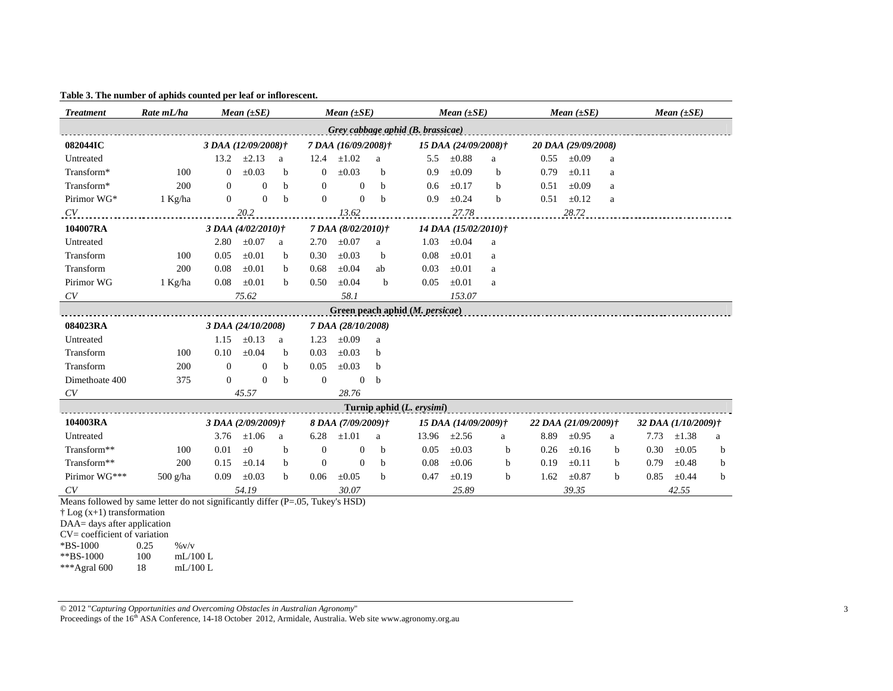| <b>Treatment</b>                                                               | Rate mL/ha       | <i>Mean</i> $(\pm SE)$ |                    |             | Mean $(\pm SE)$  |                     |              | <i>Mean</i> $(\pm SE)$    |                      | <i>Mean</i> $(\pm SE)$ |                      |            | Mean $(\pm SE)$ |                     |            |             |
|--------------------------------------------------------------------------------|------------------|------------------------|--------------------|-------------|------------------|---------------------|--------------|---------------------------|----------------------|------------------------|----------------------|------------|-----------------|---------------------|------------|-------------|
| Grey cabbage aphid (B. brassicae)                                              |                  |                        |                    |             |                  |                     |              |                           |                      |                        |                      |            |                 |                     |            |             |
| 082044IC                                                                       |                  | 3 DAA (12/09/2008)†    |                    |             |                  | 7 DAA (16/09/2008)† |              |                           | 15 DAA (24/09/2008)† |                        | 20 DAA (29/09/2008)  |            |                 |                     |            |             |
| Untreated                                                                      |                  | 13.2                   | $\pm 2.13$         | a           | 12.4             | $\pm 1.02$          | a            | 5.5                       | $\pm 0.88$           | a                      | 0.55                 | $\pm 0.09$ | a               |                     |            |             |
| Transform*                                                                     | 100              | $\Omega$               | $\pm 0.03$         | b           | $\mathbf{0}$     | $\pm 0.03$          | b.           | 0.9                       | $\pm 0.09$           | $\mathbf b$            | 0.79                 | $\pm 0.11$ | a               |                     |            |             |
| Transform*                                                                     | 200              | $\overline{0}$         | $\boldsymbol{0}$   | $\mathbf b$ | $\mathbf{0}$     | $\mathbf{0}$        | <sub>b</sub> | 0.6                       | $\pm 0.17$           | b                      | 0.51                 | $\pm 0.09$ | a               |                     |            |             |
| Pirimor WG*                                                                    | $1$ Kg/ha        | $\Omega$               | $\Omega$           | b           | $\Omega$         | $\Omega$            | $\mathbf b$  | 0.9                       | $\pm 0.24$           | $\mathbf b$            | 0.51                 | $\pm 0.12$ | a               |                     |            |             |
| CV                                                                             |                  | 20.2                   |                    |             | 13.62            |                     |              |                           | 27.78                |                        |                      | 28.72      |                 |                     |            |             |
| 104007RA                                                                       |                  | 3 DAA (4/02/2010)†     |                    |             |                  | 7 DAA (8/02/2010)†  |              |                           | 14 DAA (15/02/2010)† |                        |                      |            |                 |                     |            |             |
| Untreated                                                                      |                  | 2.80                   | $\pm 0.07$         | a           | 2.70             | $\pm 0.07$          | a            | 1.03                      | $\pm 0.04$           | a                      |                      |            |                 |                     |            |             |
| Transform                                                                      | 100              | 0.05                   | $\pm 0.01$         | b           | 0.30             | $\pm 0.03$          | b            | 0.08                      | $\pm 0.01$           | a                      |                      |            |                 |                     |            |             |
| Transform                                                                      | 200              | 0.08                   | $\pm 0.01$         | b           | 0.68             | $\pm 0.04$          | ab           | 0.03                      | $\pm 0.01$           | a                      |                      |            |                 |                     |            |             |
| Pirimor WG                                                                     | 1 Kg/ha          | 0.08                   | $\pm 0.01$         | $\mathbf b$ | 0.50             | $\pm 0.04$          | $\mathbf b$  | 0.05                      | $\pm 0.01$           | a                      |                      |            |                 |                     |            |             |
| CV                                                                             |                  |                        | 75.62              |             |                  | 58.1                |              |                           | 153.07               |                        |                      |            |                 |                     |            |             |
| Green peach aphid (M. persicae)                                                |                  |                        |                    |             |                  |                     |              |                           |                      |                        |                      |            |                 |                     |            |             |
| 084023RA                                                                       |                  | 3 DAA (24/10/2008)     |                    |             |                  | 7 DAA (28/10/2008)  |              |                           |                      |                        |                      |            |                 |                     |            |             |
| Untreated                                                                      |                  | 1.15                   | $\pm 0.13$         | a           | 1.23             | $\pm 0.09$          | a            |                           |                      |                        |                      |            |                 |                     |            |             |
| Transform                                                                      | 100              | 0.10                   | $\pm 0.04$         | b           | 0.03             | $\pm 0.03$          | b            |                           |                      |                        |                      |            |                 |                     |            |             |
| Transform                                                                      | 200              | $\boldsymbol{0}$       | $\boldsymbol{0}$   | $\mathbf b$ | 0.05             | $\pm 0.03$          | $\mathbf b$  |                           |                      |                        |                      |            |                 |                     |            |             |
| Dimethoate 400                                                                 | 375              | $\mathbf{0}$           | $\mathbf{0}$       | b           | $\theta$         | $\boldsymbol{0}$    | $\mathbf b$  |                           |                      |                        |                      |            |                 |                     |            |             |
| CV                                                                             |                  | 45.57                  |                    |             |                  | 28.76               |              |                           |                      |                        |                      |            |                 |                     |            |             |
|                                                                                |                  |                        |                    |             |                  |                     |              | Turnip aphid (L. erysimi) |                      |                        |                      |            |                 |                     |            |             |
| 104003RA                                                                       |                  |                        | 3 DAA (2/09/2009)† |             |                  | 8 DAA (7/09/2009)†  |              |                           | 15 DAA (14/09/2009)† |                        | 22 DAA (21/09/2009)† |            |                 | 32 DAA (1/10/2009)† |            |             |
| Untreated                                                                      |                  | 3.76                   | $\pm 1.06$         | a           | 6.28             | $\pm 1.01$          | a            | 13.96                     | $\pm 2.56$           | a                      | 8.89                 | $\pm 0.95$ | a               | 7.73                | $\pm 1.38$ | a           |
| Transform**                                                                    | 100              | 0.01                   | $\pm 0$            | b           | $\theta$         | $\mathbf{0}$        | $\mathbf b$  | 0.05                      | $\pm 0.03$           | b                      | 0.26                 | $\pm 0.16$ | b               | 0.30                | $\pm 0.05$ | b           |
| Transform**                                                                    | 200              | 0.15                   | $\pm 0.14$         | b           | $\boldsymbol{0}$ | $\mathbf{0}$        | b            | 0.08                      | $\pm 0.06$           | b                      | 0.19                 | $\pm 0.11$ | b               | 0.79                | $\pm 0.48$ | b           |
| Pirimor WG***                                                                  | $500$ g/ha       | 0.09                   | $\pm 0.03$         | $\mathbf b$ | 0.06             | $\pm 0.05$          | b            | 0.47                      | $\pm 0.19$           | $\mathbf b$            | 1.62                 | $\pm 0.87$ | b               | 0.85                | $\pm 0.44$ | $\mathbf b$ |
| CV                                                                             |                  |                        | 54.19              |             |                  | 30.07               |              |                           | 25.89                |                        |                      | 39.35      |                 |                     | 42.55      |             |
| Means followed by same letter do not significantly differ (P=.05, Tukey's HSD) |                  |                        |                    |             |                  |                     |              |                           |                      |                        |                      |            |                 |                     |            |             |
| $\uparrow$ Log (x+1) transformation                                            |                  |                        |                    |             |                  |                     |              |                           |                      |                        |                      |            |                 |                     |            |             |
| DAA= days after application<br>CV= coefficient of variation                    |                  |                        |                    |             |                  |                     |              |                           |                      |                        |                      |            |                 |                     |            |             |
| *BS-1000                                                                       | 0.25<br>$\%$ v/v |                        |                    |             |                  |                     |              |                           |                      |                        |                      |            |                 |                     |            |             |
| ** BS-1000                                                                     | 100              | mL/100L                |                    |             |                  |                     |              |                           |                      |                        |                      |            |                 |                     |            |             |
| ***Agral 600                                                                   | 18               | mL/100L                |                    |             |                  |                     |              |                           |                      |                        |                      |            |                 |                     |            |             |

## **Table 3. The number of aphids counted per leaf or inflorescent.**

© 2012 "*Capturing Opportunities and Overcoming Obstacles in Australian Agronomy*"<br>Proceedings of the 16<sup>th</sup> ASA Conference, 14-18 October 2012, Armidale, Australia. Web site www.agronomy.org.au